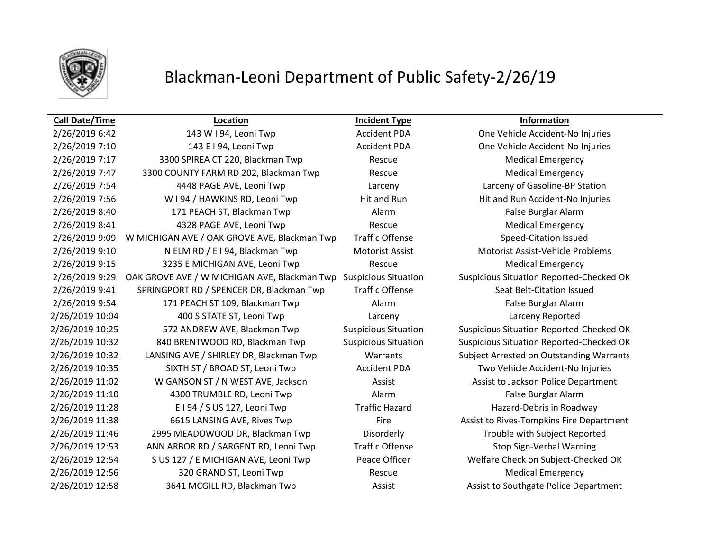

## Blackman-Leoni Department of Public Safety-2/26/19

**Call Date/Time Location Incident Type Information** 2/26/2019 6:42 143 W I 94, Leoni Twp Accident PDA One Vehicle Accident-No Injuries 2/26/2019 7:10 143 E I 94, Leoni Twp Accident PDA One Vehicle Accident-No Injuries 2/26/2019 7:17 3300 SPIREA CT 220, Blackman Twp Rescue Rescue Medical Emergency 2/26/2019 7:47 3300 COUNTY FARM RD 202, Blackman Twp Rescue Rescue Medical Emergency 2/26/2019 7:54 4448 PAGE AVE, Leoni Twp Larceny Larceny of Gasoline-BP Station 2/26/2019 7:56 W I 94 / HAWKINS RD, Leoni Twp Hit and Run Hit and Run Hit and Run Accident-No Injuries 2/26/2019 8:40 171 PEACH ST, Blackman Twp Alarm Alarm False Burglar Alarm 2/26/2019 8:41 4328 PAGE AVE, Leoni Twp Rescue Medical Emergency 2/26/2019 9:09 W MICHIGAN AVE / OAK GROVE AVE, Blackman Twp Traffic Offense Speed-Citation Issued 2/26/2019 9:10 N ELM RD / E I 94, Blackman Twp Motorist Assist Motorist Assist-Vehicle Problems 2/26/2019 9:15 3235 E MICHIGAN AVE, Leoni Twp Rescue Rescue Medical Emergency 2/26/2019 9:29 OAK GROVE AVE / W MICHIGAN AVE, Blackman Twp Suspicious Situation Suspicious Situation Reported-Checked OK 2/26/2019 9:41 SPRINGPORT RD / SPENCER DR, Blackman Twp Traffic Offense Seat Belt-Citation Issued 2/26/2019 9:54 171 PEACH ST 109, Blackman Twp Alarm Alarm False Burglar Alarm 2/26/2019 10:04 400 S STATE ST, Leoni Twp Larceny Larceny Reported 2/26/2019 10:25 572 ANDREW AVE, Blackman Twp Suspicious Situation Suspicious Situation Reported-Checked OK 2/26/2019 10:32 840 BRENTWOOD RD, Blackman Twp Suspicious Situation Suspicious Situation Reported-Checked OK 2/26/2019 10:32 LANSING AVE / SHIRLEY DR, Blackman Twp Warrants Subject Arrested on Outstanding Warrants 2/26/2019 10:35 SIXTH ST / BROAD ST, Leoni Twp Accident PDA Two Vehicle Accident-No Injuries 2/26/2019 11:02 W GANSON ST / N WEST AVE, Jackson Assist Assist Assist to Jackson Police Department 2/26/2019 11:10 4300 TRUMBLE RD, Leoni Twp Alarm False Burglar Alarm 2/26/2019 11:28 E I 94 / S US 127, Leoni Twp Traffic Hazard Hazard Hazard-Debris in Roadway 2/26/2019 11:38 6615 LANSING AVE, Rives Twp Fire Fire Assist to Rives-Tompkins Fire Department 2/26/2019 11:46 2995 MEADOWOOD DR, Blackman Twp Disorderly Trouble with Subject Reported 2/26/2019 12:53 ANN ARBOR RD / SARGENT RD, Leoni Twp Traffic Offense Stop Sign-Verbal Warning 2/26/2019 12:54 S US 127 / E MICHIGAN AVE, Leoni Twp Peace Officer Welfare Check on Subject-Checked OK 2/26/2019 12:56 320 GRAND ST, Leoni Twp Rescue Rescue Medical Emergency 2/26/2019 12:58 3641 MCGILL RD, Blackman Twp Assist Assist Assist to Southgate Police Department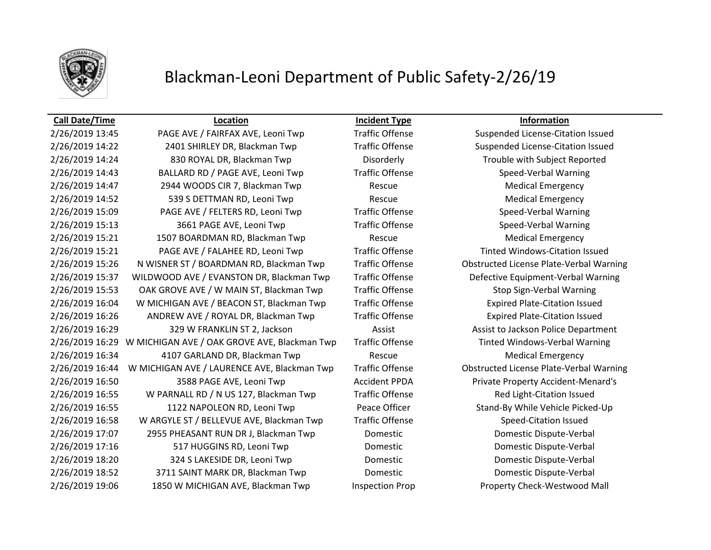

### Blackman-Leoni Department of Public Safety-2/26/19

### **Call Date/Time Location Incident Type Information**

2/26/2019 13:45 PAGE AVE / FAIRFAX AVE, Leoni Twp Traffic Offense Suspended License-Citation Issued 2/26/2019 14:22 2401 SHIRLEY DR, Blackman Twp Traffic Offense Suspended License-Citation Issued 2/26/2019 14:24 830 ROYAL DR, Blackman Twp Disorderly Trouble with Subject Reported 2/26/2019 14:43 BALLARD RD / PAGE AVE, Leoni Twp Traffic Offense Speed-Verbal Warning 2/26/2019 14:47 2944 WOODS CIR 7, Blackman Twp Rescue Rescue Medical Emergency 2/26/2019 14:52 539 S DETTMAN RD, Leoni Twp Rescue Rescue Medical Emergency 2/26/2019 15:09 PAGE AVE / FELTERS RD, Leoni Twp Traffic Offense Speed-Verbal Warning 2/26/2019 15:13 3661 PAGE AVE, Leoni Twp Traffic Offense Speed-Verbal Warning 2/26/2019 15:21 1507 BOARDMAN RD, Blackman Twp Rescue Medical Emergency 2/26/2019 15:21 PAGE AVE / FALAHEE RD, Leoni Twp Traffic Offense Tinted Windows-Citation Issued 2/26/2019 15:26 N WISNER ST / BOARDMAN RD, Blackman Twp Traffic Offense Obstructed License Plate-Verbal Warning 2/26/2019 15:37 WILDWOOD AVE / EVANSTON DR, Blackman Twp Traffic Offense Defective Equipment-Verbal Warning 2/26/2019 15:53 OAK GROVE AVE / W MAIN ST, Blackman Twp Traffic Offense Stop Sign-Verbal Warning 2/26/2019 16:04 W MICHIGAN AVE / BEACON ST, Blackman Twp Traffic Offense Expired Plate-Citation Issued 2/26/2019 16:26 ANDREW AVE / ROYAL DR, Blackman Twp Traffic Offense Expired Plate-Citation Issued 2/26/2019 16:29 329 W FRANKLIN ST 2, Jackson Assist Assist Assist to Jackson Police Department 2/26/2019 16:29 W MICHIGAN AVE / OAK GROVE AVE, Blackman Twp Traffic Offense Track Tinted Windows-Verbal Warning 2/26/2019 16:34 4107 GARLAND DR, Blackman Twp Rescue Rescue Medical Emergency 2/26/2019 16:44 W MICHIGAN AVE / LAURENCE AVE, Blackman Twp Traffic Offense Obstructed License Plate-Verbal Warning 2/26/2019 16:50 3588 PAGE AVE, Leoni Twp Accident PPDA Private Property Accident-Menard's 2/26/2019 16:55 W PARNALL RD / N US 127, Blackman Twp Traffic Offense Red Light-Citation Issued 2/26/2019 16:55 1122 NAPOLEON RD, Leoni Twp Peace Officer Stand-By While Vehicle Picked-Up 2/26/2019 16:58 W ARGYLE ST / BELLEVUE AVE, Blackman Twp Traffic Offense Speed-Citation Issued 2/26/2019 17:07 2955 PHEASANT RUN DR J, Blackman Twp Domestic Domestic Dispute-Verbal 2/26/2019 17:16 517 HUGGINS RD, Leoni Twp Domestic Domestic Dispute-Verbal 2/26/2019 18:20 324 S LAKESIDE DR, Leoni Twp Domestic Domestic Dispute-Verbal 2/26/2019 18:52 3711 SAINT MARK DR, Blackman Twp Domestic Domestic Dispute-Verbal 2/26/2019 19:06 1850 W MICHIGAN AVE, Blackman Twp Inspection Prop Property Check-Westwood Mall